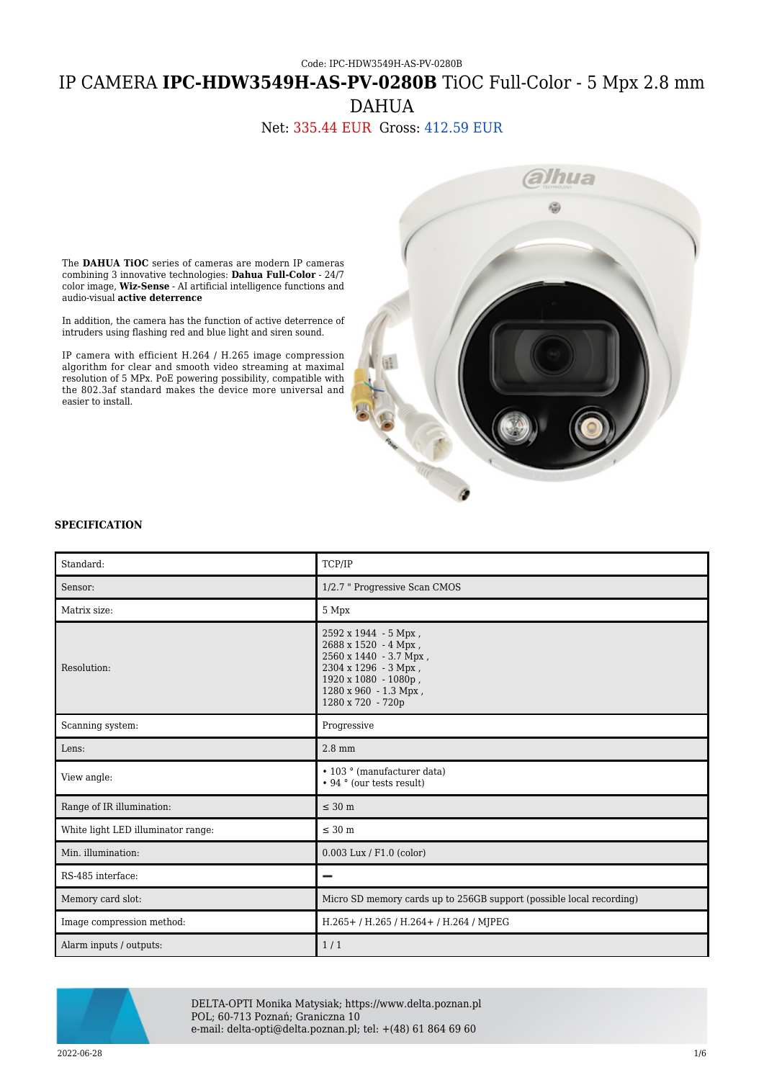## Code: IPC-HDW3549H-AS-PV-0280B IP CAMERA **IPC-HDW3549H-AS-PV-0280B** TiOC Full-Color - 5 Mpx 2.8 mm DAHUA

Net: 335.44 EUR Gross: 412.59 EUR



The **DAHUA TiOC** series of cameras are modern IP cameras combining 3 innovative technologies: **Dahua Full-Color** - 24/7 color image, **Wiz-Sense** - AI artificial intelligence functions and audio-visual **active deterrence**

In addition, the camera has the function of active deterrence of intruders using flashing red and blue light and siren sound.

IP camera with efficient H.264 / H.265 image compression algorithm for clear and smooth video streaming at maximal resolution of 5 MPx. PoE powering possibility, compatible with the 802.3af standard makes the device more universal and easier to install.

## **SPECIFICATION**

| Standard:                          | TCP/IP                                                                                                                                                               |
|------------------------------------|----------------------------------------------------------------------------------------------------------------------------------------------------------------------|
| Sensor:                            | 1/2.7 " Progressive Scan CMOS                                                                                                                                        |
| Matrix size:                       | 5 Mpx                                                                                                                                                                |
| Resolution:                        | 2592 x 1944 - 5 Mpx,<br>2688 x 1520 - 4 Mpx,<br>2560 x 1440 - 3.7 Mpx,<br>2304 x 1296 - 3 Mpx,<br>1920 x 1080 - 1080p,<br>1280 x 960 - 1.3 Mpx,<br>1280 x 720 - 720p |
| Scanning system:                   | Progressive                                                                                                                                                          |
| Lens:                              | $2.8$ mm                                                                                                                                                             |
| View angle:                        | • 103 ° (manufacturer data)<br>• 94 ° (our tests result)                                                                                                             |
| Range of IR illumination:          | $\leq 30$ m                                                                                                                                                          |
| White light LED illuminator range: | $\leq 30$ m                                                                                                                                                          |
| Min. illumination:                 | $0.003$ Lux / F1.0 (color)                                                                                                                                           |
| RS-485 interface:                  | -                                                                                                                                                                    |
| Memory card slot:                  | Micro SD memory cards up to 256GB support (possible local recording)                                                                                                 |
| Image compression method:          | H.265+/H.265/H.264+/H.264/MJPEG                                                                                                                                      |
| Alarm inputs / outputs:            | 1/1                                                                                                                                                                  |



DELTA-OPTI Monika Matysiak; https://www.delta.poznan.pl POL; 60-713 Poznań; Graniczna 10 e-mail: delta-opti@delta.poznan.pl; tel: +(48) 61 864 69 60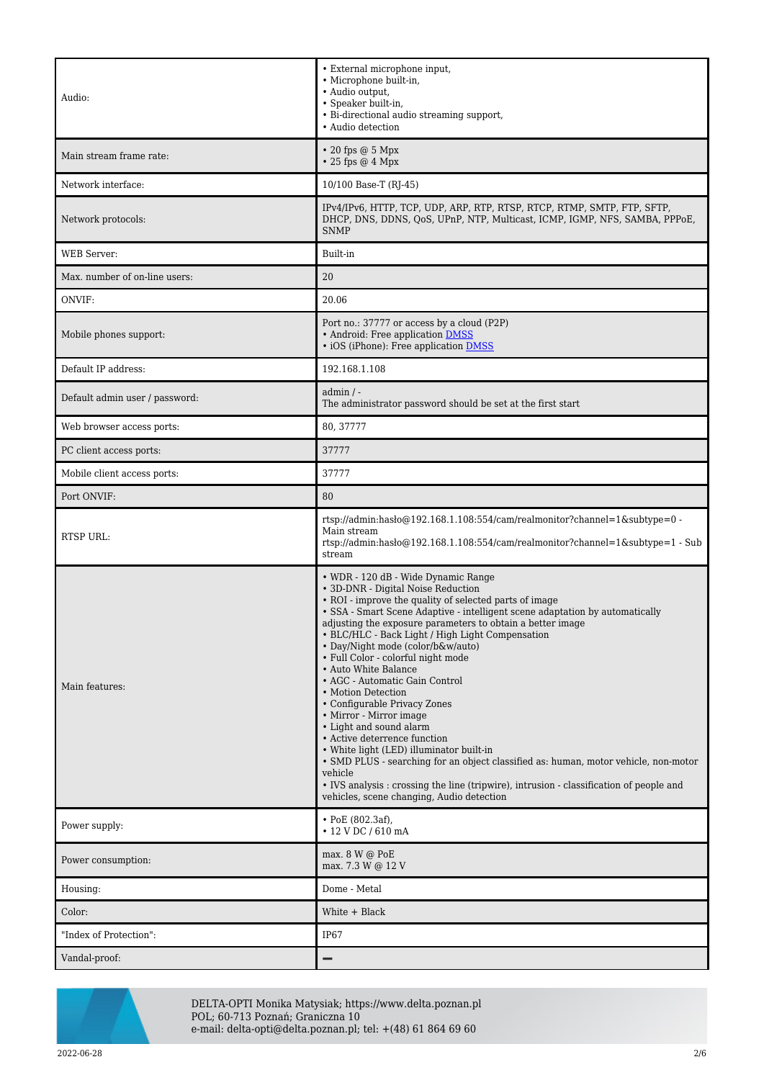| Audio:                         | • External microphone input,<br>· Microphone built-in,<br>· Audio output,<br>· Speaker built-in,<br>• Bi-directional audio streaming support,<br>• Audio detection                                                                                                                                                                                                                                                                                                                                                                                                                                                                                                                                                                                                                                                                                                                                           |
|--------------------------------|--------------------------------------------------------------------------------------------------------------------------------------------------------------------------------------------------------------------------------------------------------------------------------------------------------------------------------------------------------------------------------------------------------------------------------------------------------------------------------------------------------------------------------------------------------------------------------------------------------------------------------------------------------------------------------------------------------------------------------------------------------------------------------------------------------------------------------------------------------------------------------------------------------------|
| Main stream frame rate:        | $\cdot$ 20 fps $\omega$ 5 Mpx<br>$\cdot$ 25 fps $@$ 4 Mpx                                                                                                                                                                                                                                                                                                                                                                                                                                                                                                                                                                                                                                                                                                                                                                                                                                                    |
| Network interface:             | 10/100 Base-T (RJ-45)                                                                                                                                                                                                                                                                                                                                                                                                                                                                                                                                                                                                                                                                                                                                                                                                                                                                                        |
| Network protocols:             | IPv4/IPv6, HTTP, TCP, UDP, ARP, RTP, RTSP, RTCP, RTMP, SMTP, FTP, SFTP,<br>DHCP, DNS, DDNS, QoS, UPnP, NTP, Multicast, ICMP, IGMP, NFS, SAMBA, PPPoE,<br><b>SNMP</b>                                                                                                                                                                                                                                                                                                                                                                                                                                                                                                                                                                                                                                                                                                                                         |
| <b>WEB</b> Server:             | Built-in                                                                                                                                                                                                                                                                                                                                                                                                                                                                                                                                                                                                                                                                                                                                                                                                                                                                                                     |
| Max. number of on-line users:  | 20                                                                                                                                                                                                                                                                                                                                                                                                                                                                                                                                                                                                                                                                                                                                                                                                                                                                                                           |
| ONVIF:                         | 20.06                                                                                                                                                                                                                                                                                                                                                                                                                                                                                                                                                                                                                                                                                                                                                                                                                                                                                                        |
| Mobile phones support:         | Port no.: 37777 or access by a cloud (P2P)<br>• Android: Free application DMSS<br>• iOS (iPhone): Free application <b>DMSS</b>                                                                                                                                                                                                                                                                                                                                                                                                                                                                                                                                                                                                                                                                                                                                                                               |
| Default IP address:            | 192.168.1.108                                                                                                                                                                                                                                                                                                                                                                                                                                                                                                                                                                                                                                                                                                                                                                                                                                                                                                |
| Default admin user / password: | $admin / -$<br>The administrator password should be set at the first start                                                                                                                                                                                                                                                                                                                                                                                                                                                                                                                                                                                                                                                                                                                                                                                                                                   |
| Web browser access ports:      | 80, 37777                                                                                                                                                                                                                                                                                                                                                                                                                                                                                                                                                                                                                                                                                                                                                                                                                                                                                                    |
| PC client access ports:        | 37777                                                                                                                                                                                                                                                                                                                                                                                                                                                                                                                                                                                                                                                                                                                                                                                                                                                                                                        |
| Mobile client access ports:    | 37777                                                                                                                                                                                                                                                                                                                                                                                                                                                                                                                                                                                                                                                                                                                                                                                                                                                                                                        |
| Port ONVIF:                    | 80                                                                                                                                                                                                                                                                                                                                                                                                                                                                                                                                                                                                                                                                                                                                                                                                                                                                                                           |
| RTSP URL:                      | rtsp://admin:hasło@192.168.1.108:554/cam/realmonitor?channel=1&subtype=0 -<br>Main stream<br>rtsp://admin:haslo $@192.168.1.108.554$ /cam/realmonitor?channel=1&subtype=1 - Sub<br>stream                                                                                                                                                                                                                                                                                                                                                                                                                                                                                                                                                                                                                                                                                                                    |
| Main features:                 | • WDR - 120 dB - Wide Dynamic Range<br>• 3D-DNR - Digital Noise Reduction<br>• ROI - improve the quality of selected parts of image<br>• SSA - Smart Scene Adaptive - intelligent scene adaptation by automatically<br>adjusting the exposure parameters to obtain a better image<br>· BLC/HLC - Back Light / High Light Compensation<br>• Day/Night mode (color/b&w/auto)<br>• Full Color - colorful night mode<br>• Auto White Balance<br>• AGC - Automatic Gain Control<br>• Motion Detection<br>• Configurable Privacy Zones<br>• Mirror - Mirror image<br>• Light and sound alarm<br>• Active deterrence function<br>• White light (LED) illuminator built-in<br>• SMD PLUS - searching for an object classified as: human, motor vehicle, non-motor<br>vehicle<br>• IVS analysis : crossing the line (tripwire), intrusion - classification of people and<br>vehicles, scene changing, Audio detection |
| Power supply:                  | • PoE $(802.3af)$ ,<br>• 12 V DC / 610 mA                                                                                                                                                                                                                                                                                                                                                                                                                                                                                                                                                                                                                                                                                                                                                                                                                                                                    |
| Power consumption:             | max. 8 W @ PoE<br>max. 7.3 W @ 12 V                                                                                                                                                                                                                                                                                                                                                                                                                                                                                                                                                                                                                                                                                                                                                                                                                                                                          |
| Housing:                       | Dome - Metal                                                                                                                                                                                                                                                                                                                                                                                                                                                                                                                                                                                                                                                                                                                                                                                                                                                                                                 |
| Color:                         | White + Black                                                                                                                                                                                                                                                                                                                                                                                                                                                                                                                                                                                                                                                                                                                                                                                                                                                                                                |
| "Index of Protection":         | IP <sub>67</sub>                                                                                                                                                                                                                                                                                                                                                                                                                                                                                                                                                                                                                                                                                                                                                                                                                                                                                             |
| Vandal-proof:                  |                                                                                                                                                                                                                                                                                                                                                                                                                                                                                                                                                                                                                                                                                                                                                                                                                                                                                                              |



DELTA-OPTI Monika Matysiak; https://www.delta.poznan.pl POL; 60-713 Poznań; Graniczna 10 e-mail: delta-opti@delta.poznan.pl; tel: +(48) 61 864 69 60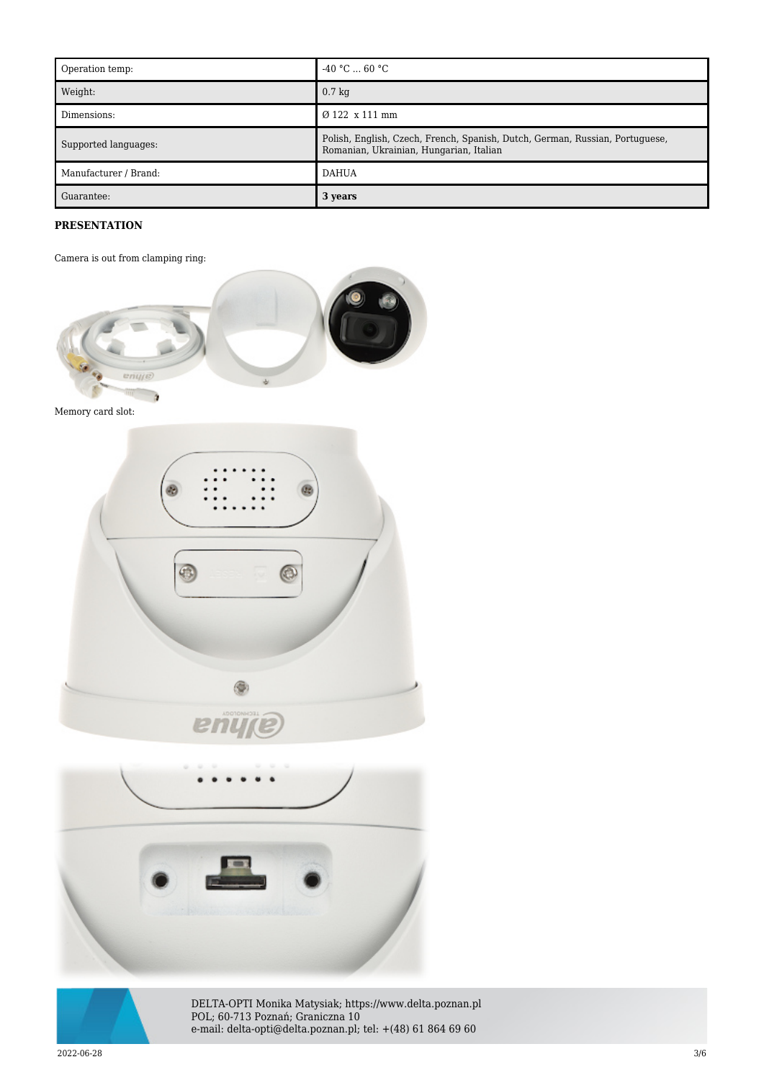| Operation temp:       | $-40 °C$ 60 °C                                                                                                          |
|-----------------------|-------------------------------------------------------------------------------------------------------------------------|
| Weight:               | $0.7 \text{ kg}$                                                                                                        |
| Dimensions:           | Ø 122 x 111 mm                                                                                                          |
| Supported languages:  | Polish, English, Czech, French, Spanish, Dutch, German, Russian, Portuguese,<br>Romanian, Ukrainian, Hungarian, Italian |
| Manufacturer / Brand: | <b>DAHUA</b>                                                                                                            |
| Guarantee:            | 3 years                                                                                                                 |

## **PRESENTATION**

Camera is out from clamping ring:



Memory card slot:







DELTA-OPTI Monika Matysiak; https://www.delta.poznan.pl POL; 60-713 Poznań; Graniczna 10 e-mail: delta-opti@delta.poznan.pl; tel: +(48) 61 864 69 60

 $2022{\cdot}06{\cdot}28$   $3/6$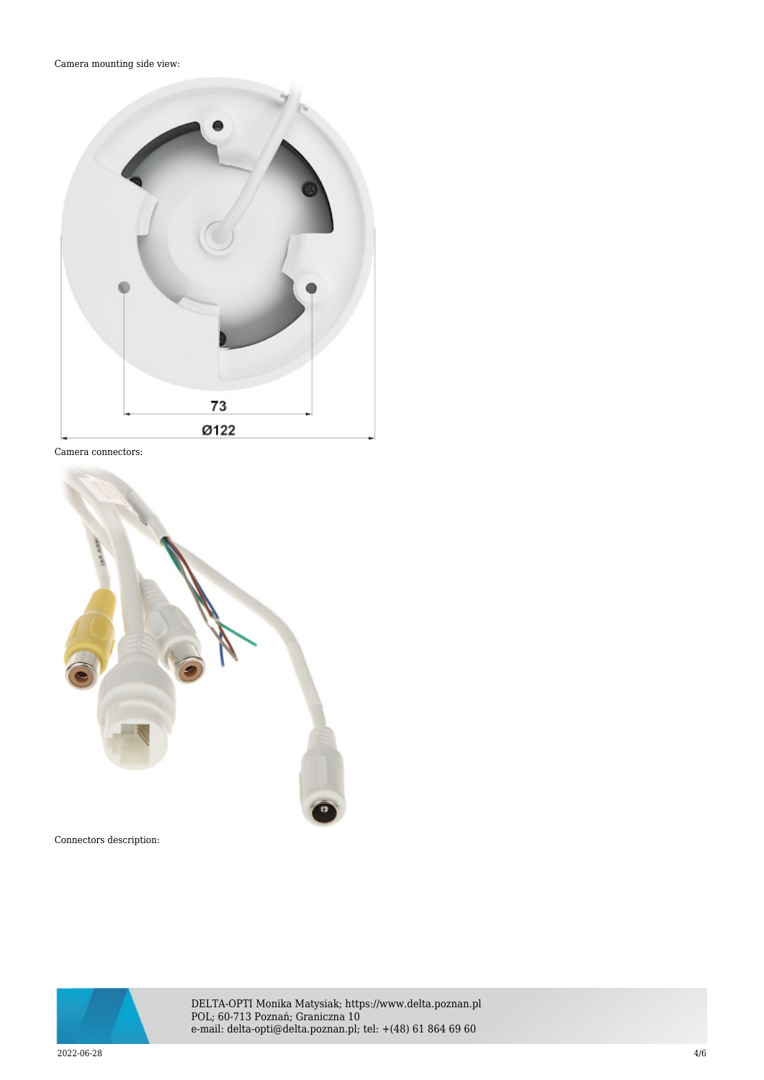

Camera connectors:



Connectors description:



DELTA-OPTI Monika Matysiak; https://www.delta.poznan.pl POL; 60-713 Poznań; Graniczna 10 e-mail: delta-opti@delta.poznan.pl; tel: +(48) 61 864 69 60

 $2022{\cdot}06{\cdot}28$  and  $4/6$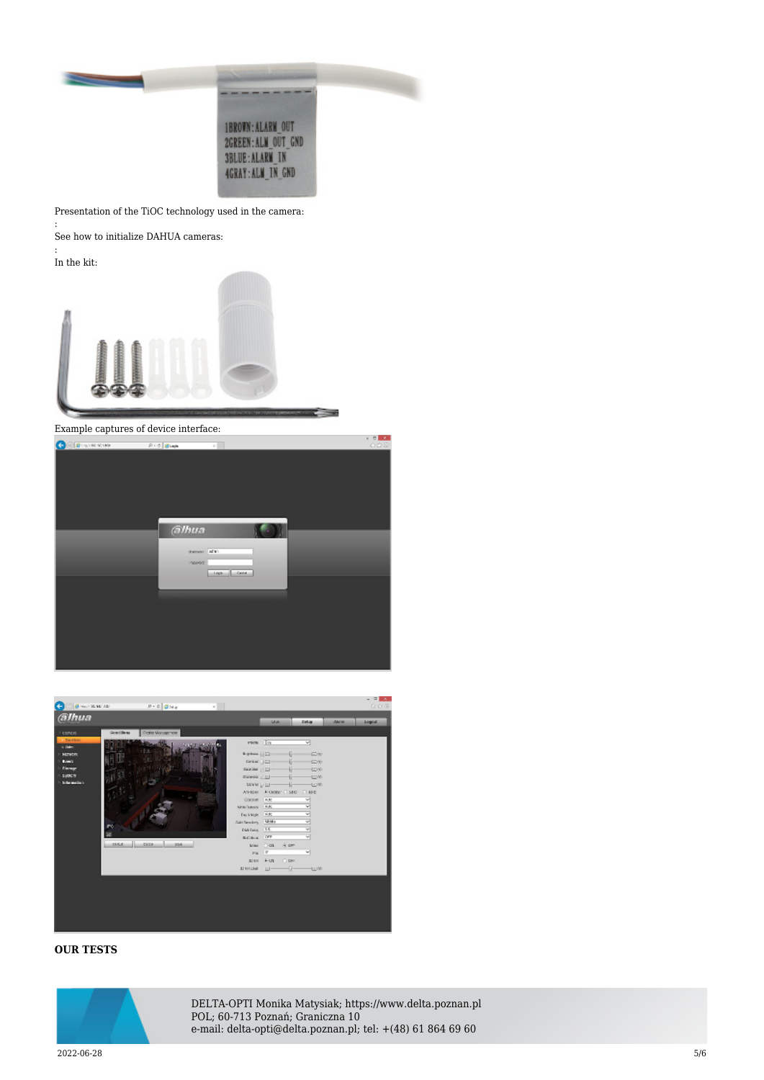

Presentation of the TiOC technology used in the camera:

See how to initialize DAHUA cameras:

: In the kit:

:



Example captures of device interface:





## **OUR TESTS**



DELTA-OPTI Monika Matysiak; https://www.delta.poznan.pl POL; 60-713 Poznań; Graniczna 10 e-mail: delta-opti@delta.poznan.pl; tel: +(48) 61 864 69 60

**Contract Contract** 

 $2022{\cdot}06{\cdot}28$   $5/6$